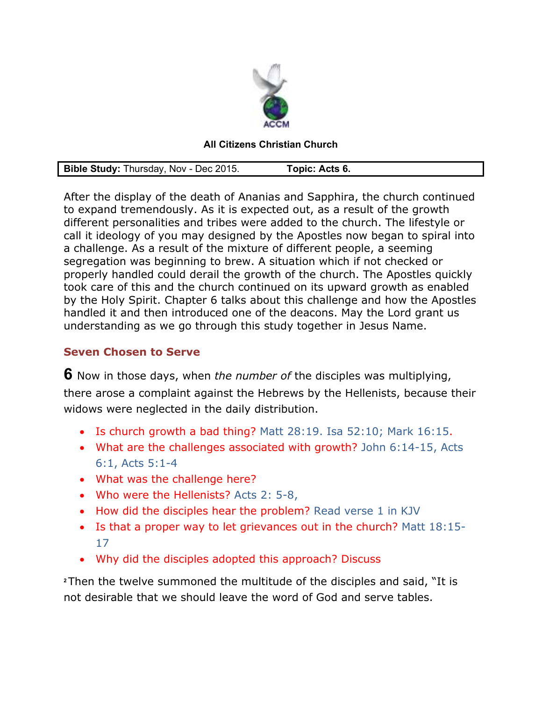

## **All Citizens Christian Church**

| Bible Study: Thursday, Nov - Dec 2015. | Topic: Acts 6. |  |
|----------------------------------------|----------------|--|
|----------------------------------------|----------------|--|

After the display of the death of Ananias and Sapphira, the church continued to expand tremendously. As it is expected out, as a result of the growth different personalities and tribes were added to the church. The lifestyle or call it ideology of you may designed by the Apostles now began to spiral into a challenge. As a result of the mixture of different people, a seeming segregation was beginning to brew. A situation which if not checked or properly handled could derail the growth of the church. The Apostles quickly took care of this and the church continued on its upward growth as enabled by the Holy Spirit. Chapter 6 talks about this challenge and how the Apostles handled it and then introduced one of the deacons. May the Lord grant us understanding as we go through this study together in Jesus Name.

## **Seven Chosen to Serve**

**6** Now in those days, when *the number of* the disciples was multiplying, there arose a complaint against the Hebrews by the Hellenists, because their widows were neglected in the daily distribution.

- Is church growth a bad thing? Matt 28:19. Isa 52:10; Mark 16:15.
- What are the challenges associated with growth? John 6:14-15, Acts 6:1, Acts 5:1-4
- What was the challenge here?
- Who were the Hellenists? Acts 2: 5-8,
- How did the disciples hear the problem? Read verse 1 in KJV
- Is that a proper way to let grievances out in the church? Matt 18:15- 17
- Why did the disciples adopted this approach? Discuss

**<sup>2</sup>**Then the twelve summoned the multitude of the disciples and said, "It is not desirable that we should leave the word of God and serve tables.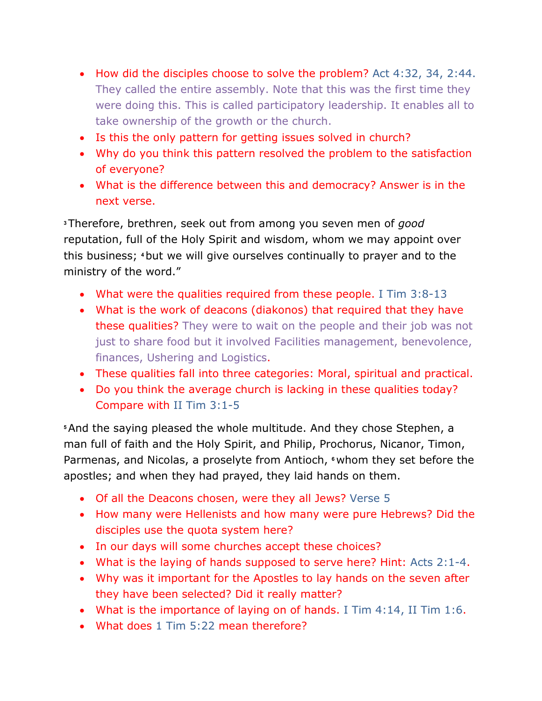- How did the disciples choose to solve the problem? Act 4:32, 34, 2:44. They called the entire assembly. Note that this was the first time they were doing this. This is called participatory leadership. It enables all to take ownership of the growth or the church.
- Is this the only pattern for getting issues solved in church?
- Why do you think this pattern resolved the problem to the satisfaction of everyone?
- What is the difference between this and democracy? Answer is in the next verse.

**<sup>3</sup>**Therefore, brethren, seek out from among you seven men of *good* reputation, full of the Holy Spirit and wisdom, whom we may appoint over this business; **4** but we will give ourselves continually to prayer and to the ministry of the word."

- What were the qualities required from these people. I Tim 3:8-13
- What is the work of deacons (diakonos) that required that they have these qualities? They were to wait on the people and their job was not just to share food but it involved Facilities management, benevolence, finances, Ushering and Logistics.
- These qualities fall into three categories: Moral, spiritual and practical.
- Do you think the average church is lacking in these qualities today? Compare with II Tim 3:1-5

**<sup>5</sup>**And the saying pleased the whole multitude. And they chose Stephen, a man full of faith and the Holy Spirit, and Philip, Prochorus, Nicanor, Timon, Parmenas, and Nicolas, a proselyte from Antioch, **6** whom they set before the apostles; and when they had prayed, they laid hands on them.

- Of all the Deacons chosen, were they all Jews? Verse 5
- How many were Hellenists and how many were pure Hebrews? Did the disciples use the quota system here?
- In our days will some churches accept these choices?
- What is the laying of hands supposed to serve here? Hint: Acts 2:1-4.
- Why was it important for the Apostles to lay hands on the seven after they have been selected? Did it really matter?
- What is the importance of laying on of hands. I Tim 4:14, II Tim 1:6.
- What does 1 Tim 5:22 mean therefore?